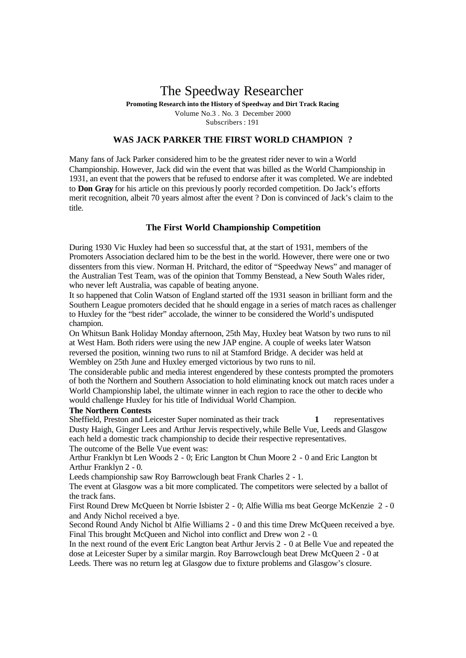# The Speedway Researcher

**Promoting Research into the History of Speedway and Dirt Track Racing** Volume No.3 . No. 3 December 2000 Subscribers : 191

## **WAS JACK PARKER THE FIRST WORLD CHAMPION ?**

Many fans of Jack Parker considered him to be the greatest rider never to win a World Championship. However, Jack did win the event that was billed as the World Championship in 1931, an event that the powers that be refused to endorse after it was completed. We are indebted to **Don Gray** for his article on this previously poorly recorded competition. Do Jack's efforts merit recognition, albeit 70 years almost after the event ? Don is convinced of Jack's claim to the title.

## **The First World Championship Competition**

During 1930 Vic Huxley had been so successful that, at the start of 1931, members of the Promoters Association declared him to be the best in the world. However, there were one or two dissenters from this view. Norman H. Pritchard, the editor of "Speedway News" and manager of the Australian Test Team, was of the opinion that Tommy Benstead, a New South Wales rider, who never left Australia, was capable of beating anyone.

It so happened that Colin Watson of England started off the 1931 season in brilliant form and the Southern League promoters decided that he should engage in a series of match races as challenger to Huxley for the "best rider" accolade, the winner to be considered the World's undisputed champion.

On Whitsun Bank Holiday Monday afternoon, 25th May, Huxley beat Watson by two runs to nil at West Ham. Both riders were using the new JAP engine. A couple of weeks later Watson reversed the position, winning two runs to nil at Stamford Bridge. A decider was held at Wembley on 25th June and Huxley emerged victorious by two runs to nil.

The considerable public and media interest engendered by these contests prompted the promoters of both the Northern and Southern Association to hold eliminating knock out match races under a World Championship label, the ultimate winner in each region to race the other to decide who would challenge Huxley for his title of Individual World Champion.

## **The Northern Contests**

Sheffield, Preston and Leicester Super nominated as their track **1** representatives Dusty Haigh, Ginger Lees and Arthur Jervis respectively,while Belle Vue, Leeds and Glasgow each held a domestic track championship to decide their respective representatives. The outcome of the Belle Vue event was:

Arthur Franklyn bt Len Woods 2 - 0; Eric Langton bt Chun Moore 2 - 0 and Eric Langton bt Arthur Franklyn 2 - 0.

Leeds championship saw Roy Barrowclough beat Frank Charles 2 - 1.

The event at Glasgow was a bit more complicated. The competitors were selected by a ballot of the track fans.

First Round Drew McQueen bt Norrie Isbister 2 - 0; Alfie Willia ms beat George McKenzie 2 - 0 and Andy Nichol received a bye.

Second Round Andy Nichol bt Alfie Williams 2 - 0 and this time Drew McQueen received a bye. Final This brought McQueen and Nichol into conflict and Drew won 2 - 0.

In the next round of the event Eric Langton beat Arthur Jervis 2 - 0 at Belle Vue and repeated the dose at Leicester Super by a similar margin. Roy Barrowclough beat Drew McQueen 2 - 0 at Leeds. There was no return leg at Glasgow due to fixture problems and Glasgow's closure.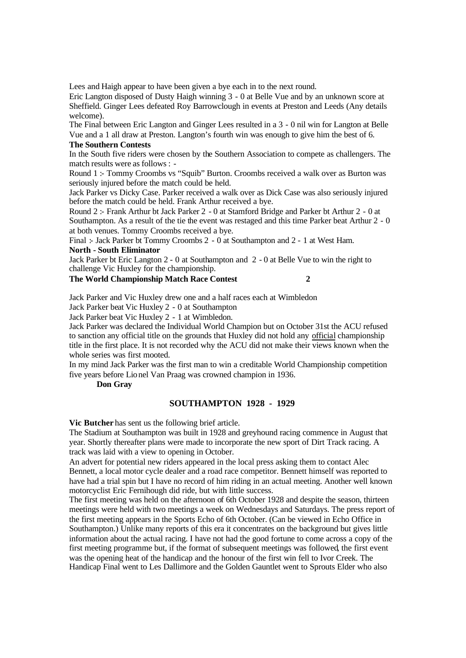Lees and Haigh appear to have been given a bye each in to the next round.

Eric Langton disposed of Dusty Haigh winning 3 - 0 at Belle Vue and by an unknown score at Sheffield. Ginger Lees defeated Roy Barrowclough in events at Preston and Leeds (Any details welcome).

The Final between Eric Langton and Ginger Lees resulted in a 3 - 0 nil win for Langton at Belle Vue and a 1 all draw at Preston. Langton's fourth win was enough to give him the best of 6.

### **The Southern Contests**

In the South five riders were chosen by the Southern Association to compete as challengers. The match results were as follows : -

Round 1 :- Tommy Croombs vs "Squib" Burton. Croombs received a walk over as Burton was seriously injured before the match could be held.

Jack Parker vs Dicky Case. Parker received a walk over as Dick Case was also seriously injured before the match could be held. Frank Arthur received a bye.

Round 2 :- Frank Arthur bt Jack Parker 2 - 0 at Stamford Bridge and Parker bt Arthur 2 - 0 at Southampton. As a result of the tie the event was restaged and this time Parker beat Arthur 2 - 0 at both venues. Tommy Croombs received a bye.

Final :- Jack Parker bt Tommy Croombs 2 - 0 at Southampton and 2 - 1 at West Ham. **North - South Eliminator**

Jack Parker bt Eric Langton 2 - 0 at Southampton and 2 - 0 at Belle Vue to win the right to challenge Vic Huxley for the championship.

# **The World Championship Match Race Contest 2**

Jack Parker and Vic Huxley drew one and a half races each at Wimbledon

Jack Parker beat Vic Huxley 2 - 0 at Southampton

Jack Parker beat Vic Huxley 2 - 1 at Wimbledon.

Jack Parker was declared the Individual World Champion but on October 31st the ACU refused to sanction any official title on the grounds that Huxley did not hold any official championship title in the first place. It is not recorded why the ACU did not make their views known when the whole series was first mooted.

In my mind Jack Parker was the first man to win a creditable World Championship competition five years before Lionel Van Praag was crowned champion in 1936.

**Don Gray**

#### **SOUTHAMPTON 1928 - 1929**

**Vic Butcher** has sent us the following brief article.

The Stadium at Southampton was built in 1928 and greyhound racing commence in August that year. Shortly thereafter plans were made to incorporate the new sport of Dirt Track racing. A track was laid with a view to opening in October.

An advert for potential new riders appeared in the local press asking them to contact Alec Bennett, a local motor cycle dealer and a road race competitor. Bennett himself was reported to have had a trial spin but I have no record of him riding in an actual meeting. Another well known motorcyclist Eric Fernihough did ride, but with little success.

The first meeting was held on the afternoon of 6th October 1928 and despite the season, thirteen meetings were held with two meetings a week on Wednesdays and Saturdays. The press report of the first meeting appears in the Sports Echo of 6th October. (Can be viewed in Echo Office in Southampton.) Unlike many reports of this era it concentrates on the background but gives little information about the actual racing. I have not had the good fortune to come across a copy of the first meeting programme but, if the format of subsequent meetings was followed, the first event was the opening heat of the handicap and the honour of the first win fell to Ivor Creek. The Handicap Final went to Les Dallimore and the Golden Gauntlet went to Sprouts Elder who also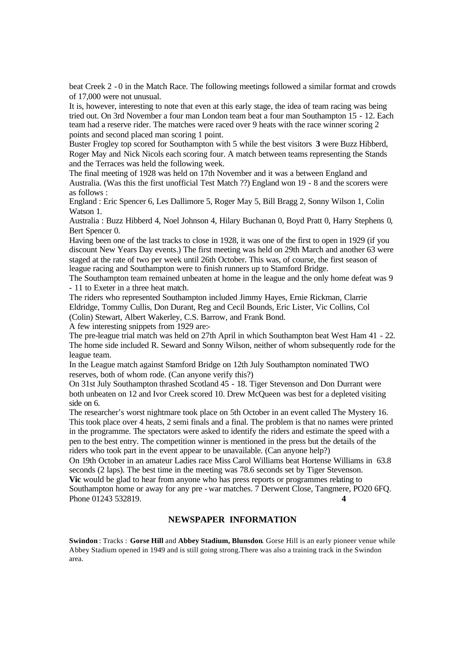beat Creek 2 - 0 in the Match Race. The following meetings followed a similar format and crowds of 17,000 were not unusual.

It is, however, interesting to note that even at this early stage, the idea of team racing was being tried out. On 3rd November a four man London team beat a four man Southampton 15 - 12. Each team had a reserve rider. The matches were raced over 9 heats with the race winner scoring 2 points and second placed man scoring 1 point.

Buster Frogley top scored for Southampton with 5 while the best visitors **3** were Buzz Hibberd, Roger May and Nick Nicols each scoring four. A match between teams representing the Stands and the Terraces was held the following week.

The final meeting of 1928 was held on 17th November and it was a between England and Australia. (Was this the first unofficial Test Match ??) England won 19 - 8 and the scorers were as follows :

England : Eric Spencer 6, Les Dallimore 5, Roger May 5, Bill Bragg 2, Sonny Wilson 1, Colin Watson 1.

Australia : Buzz Hibberd 4, Noel Johnson 4, Hilary Buchanan 0, Boyd Pratt 0, Harry Stephens 0, Bert Spencer 0.

Having been one of the last tracks to close in 1928, it was one of the first to open in 1929 (if you discount New Years Day events.) The first meeting was held on 29th March and another 63 were staged at the rate of two per week until 26th October. This was, of course, the first season of league racing and Southampton were to finish runners up to Stamford Bridge.

The Southampton team remained unbeaten at home in the league and the only home defeat was 9 - 11 to Exeter in a three heat match.

The riders who represented Southampton included Jimmy Hayes, Ernie Rickman, Clarrie Eldridge, Tommy Cullis, Don Durant, Reg and Cecil Bounds, Eric Lister, Vic Collins, Col (Colin) Stewart, Albert Wakerley, C.S. Barrow, and Frank Bond.

A few interesting snippets from 1929 are:-

The pre-league trial match was held on 27th April in which Southampton beat West Ham 41 - 22. The home side included R. Seward and Sonny Wilson, neither of whom subsequently rode for the league team.

In the League match against Stamford Bridge on 12th July Southampton nominated TWO reserves, both of whom rode. (Can anyone verify this?)

On 31st July Southampton thrashed Scotland 45 - 18. Tiger Stevenson and Don Durrant were both unbeaten on 12 and Ivor Creek scored 10. Drew McQueen was best for a depleted visiting side on 6.

The researcher's worst nightmare took place on 5th October in an event called The Mystery 16. This took place over 4 heats, 2 semi finals and a final. The problem is that no names were printed in the programme. The spectators were asked to identify the riders and estimate the speed with a pen to the best entry. The competition winner is mentioned in the press but the details of the riders who took part in the event appear to be unavailable. (Can anyone help?)

On 19th October in an amateur Ladies race Miss Carol Williams beat Hortense Williams in 63.8 seconds (2 laps). The best time in the meeting was 78.6 seconds set by Tiger Stevenson. **Vic** would be glad to hear from anyone who has press reports or programmes relating to Southampton home or away for any pre - war matches. 7 Derwent Close, Tangmere, PO20 6FQ. Phone 01243 532819. **4**

# **NEWSPAPER INFORMATION**

**Swindon** : Tracks : **Gorse Hill** and **Abbey Stadium, Blunsdon**. Gorse Hill is an early pioneer venue while Abbey Stadium opened in 1949 and is still going strong.There was also a training track in the Swindon area.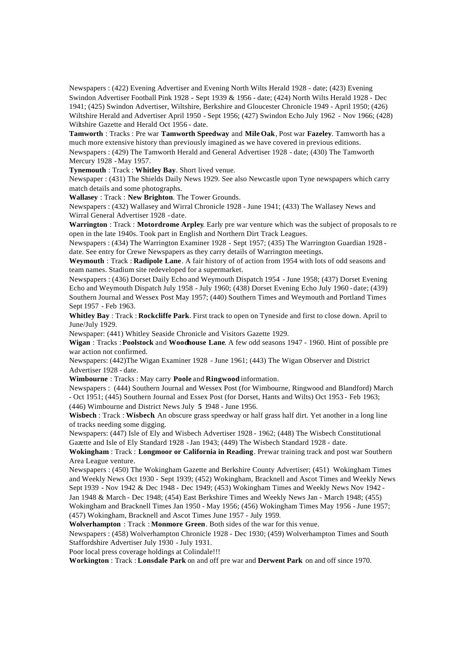Newspapers : (422) Evening Advertiser and Evening North Wilts Herald 1928 - date; (423) Evening Swindon Advertiser Football Pink 1928 - Sept 1939 & 1956 - date; (424) North Wilts Herald 1928 - Dec 1941; (425) Swindon Advertiser, Wiltshire, Berkshire and Gloucester Chronicle 1949 - April 1950; (426) Wiltshire Herald and Advertiser April 1950 - Sept 1956; (427) Swindon Echo July 1962 - Nov 1966; (428) Wiltshire Gazette and Herald Oct 1956 - date.

**Tamworth** : Tracks : Pre war **Tamworth Speedway** and **Mile Oak**, Post war **Fazeley**. Tamworth has a much more extensive history than previously imagined as we have covered in previous editions. Newspapers : (429) The Tamworth Herald and General Advertiser 1928 - date; (430) The Tamworth Mercury 1928 -May 1957.

**Tynemouth** : Track : **Whitley Bay**. Short lived venue.

Newspaper : (431) The Shields Daily News 1929. See also Newcastle upon Tyne newspapers which carry match details and some photographs.

**Wallasey** : Track : **New Brighton**. The Tower Grounds.

Newspapers : (432) Wallasey and Wirral Chronicle 1928 - June 1941; (433) The Wallasey News and Wirral General Advertiser 1928 - date.

**Warrington** : Track : **Motordrome Arpley**. Early pre war venture which was the subject of proposals to re open in the late 1940s. Took part in English and Northern Dirt Track Leagues.

Newspapers : (434) The Warrington Examiner 1928 - Sept 1957; (435) The Warrington Guardian 1928 date. See entry for Crewe Newspapers as they carry details of Warrington meetings.

**Weymouth** : Track : **Radipole Lane**. A fair history of of action from 1954 with lots of odd seasons and team names. Stadium site redeveloped for a supermarket.

Newspapers : (436) Dorset Daily Echo and Weymouth Dispatch 1954 - June 1958; (437) Dorset Evening Echo and Weymouth Dispatch July 1958 - July 1960; (438) Dorset Evening Echo July 1960 - date; (439) Southern Journal and Wessex Post May 1957; (440) Southern Times and Weymouth and Portland Times Sept 1957 - Feb 1963.

**Whitley Bay** : Track : **Rockcliffe Park**. First track to open on Tyneside and first to close down. April to June/July 1929.

Newspaper: (441) Whitley Seaside Chronicle and Visitors Gazette 1929.

**Wigan** : Tracks : **Poolstock** and **Woodhouse Lane**. A few odd seasons 1947 - 1960. Hint of possible pre war action not confirmed.

Newspapers: (442)The Wigan Examiner 1928 - June 1961; (443) The Wigan Observer and District Advertiser 1928 - date.

**Wimbourne** : Tracks : May carry **Poole** and **Ringwood** information.

Newspapers : (444) Southern Journal and Wessex Post (for Wimbourne, Ringwood and Blandford) March - Oct 1951; (445) Southern Journal and Essex Post (for Dorset, Hants and Wilts) Oct 1953 - Feb 1963; (446) Wimbourne and District News July **5** 1948 - June 1956.

**Wisbech** : Track : **Wisbech**. An obscure grass speedway or half grass half dirt. Yet another in a long line of tracks needing some digging.

Newspapers: (447) Isle of Ely and Wisbech Advertiser 1928 - 1962; (448) The Wisbech Constitutional Gazette and Isle of Ely Standard 1928 -Jan 1943; (449) The Wisbech Standard 1928 - date.

**Wokingham** : Track : **Longmoor or California in Reading**. Prewar training track and post war Southern Area League venture.

Newspapers : (450) The Wokingham Gazette and Berkshire County Advertiser; (451) Wokingham Times and Weekly News Oct 1930 - Sept 1939; (452) Wokingham, Bracknell and Ascot Times and Weekly News Sept 1939 - Nov 1942 & Dec 1948 - Dec 1949; (453) Wokingham Times and Weekly News Nov 1942 - Jan 1948 & March - Dec 1948; (454) East Berkshire Times and Weekly News Jan - March 1948; (455)

Wokingham and Bracknell Times Jan 1950 - May 1956; (456) Wokingham Times May 1956 - June 1957; (457) Wokingham, Bracknell and Ascot Times June 1957 - July 1959.

**Wolverhampton** : Track : **Monmore Green**. Both sides of the war for this venue.

Newspapers : (458) Wolverhampton Chronicle 1928 - Dec 1930; (459) Wolverhampton Times and South Staffordshire Advertiser July 1930 - July 1931.

Poor local press coverage holdings at Colindale!!!

**Workington** : Track : **Lonsdale Park** on and off pre war and **Derwent Park** on and off since 1970.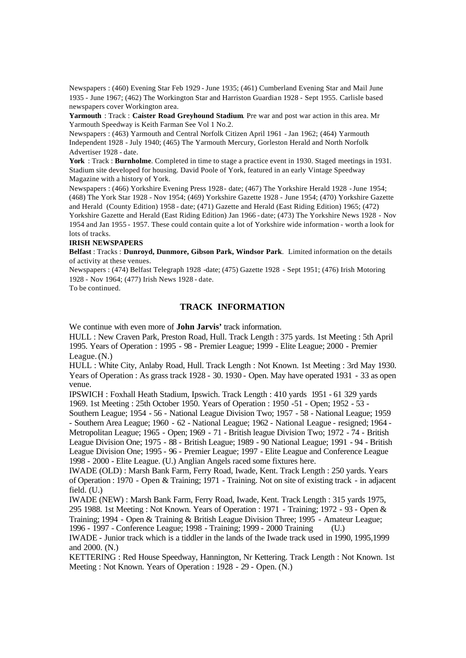Newspapers : (460) Evening Star Feb 1929 - June 1935; (461) Cumberland Evening Star and Mail June 1935 - June 1967; (462) The Workington Star and Harriston Guardian 1928 - Sept 1955. Carlisle based newspapers cover Workington area.

**Yarmouth** : Track : **Caister Road Greyhound Stadium**. Pre war and post war action in this area. Mr Yarmouth Speedway is Keith Farman See Vol 1 No.2.

Newspapers : (463) Yarmouth and Central Norfolk Citizen April 1961 - Jan 1962; (464) Yarmouth Independent 1928 - July 1940; (465) The Yarmouth Mercury, Gorleston Herald and North Norfolk Advertiser 1928 - date.

**York** : Track : **Burnholme**. Completed in time to stage a practice event in 1930. Staged meetings in 1931. Stadium site developed for housing. David Poole of York, featured in an early Vintage Speedway Magazine with a history of York.

Newspapers : (466) Yorkshire Evening Press 1928 - date; (467) The Yorkshire Herald 1928 -June 1954; (468) The York Star 1928 - Nov 1954; (469) Yorkshire Gazette 1928 - June 1954; (470) Yorkshire Gazette and Herald (County Edition) 1958 - date; (471) Gazette and Herald (East Riding Edition) 1965; (472) Yorkshire Gazette and Herald (East Riding Edition) Jan 1966 - date; (473) The Yorkshire News 1928 - Nov 1954 and Jan 1955 - 1957. These could contain quite a lot of Yorkshire wide information - worth a look for lots of tracks.

#### **IRISH NEWSPAPERS**

**Belfast** : Tracks : **Dunroyd, Dunmore, Gibson Park, Windsor Park**. Limited information on the details of activity at these venues.

Newspapers : (474) Belfast Telegraph 1928 -date; (475) Gazette 1928 - Sept 1951; (476) Irish Motoring 1928 - Nov 1964; (477) Irish News 1928 - date.

To be continued.

# **TRACK INFORMATION**

We continue with even more of **John Jarvis'** track information.

HULL : New Craven Park, Preston Road, Hull. Track Length : 375 yards. 1st Meeting : 5th April 1995. Years of Operation : 1995 - 98 - Premier League; 1999 - Elite League; 2000 - Premier League. (N.)

HULL : White City, Anlaby Road, Hull. Track Length : Not Known. 1st Meeting : 3rd May 1930. Years of Operation : As grass track 1928 - 30. 1930 - Open. May have operated 1931 - 33 as open venue.

IPSWICH : Foxhall Heath Stadium, Ipswich. Track Length : 410 yards 1951 - 61 329 yards 1969. 1st Meeting : 25th October 1950. Years of Operation : 1950 -51 - Open; 1952 - 53 -

Southern League; 1954 - 56 - National League Division Two; 1957 - 58 - National League; 1959 - Southern Area League; 1960 - 62 - National League; 1962 - National League - resigned; 1964 - Metropolitan League; 1965 - Open; 1969 - 71 - British league Division Two; 1972 - 74 - British League Division One; 1975 - 88 - British League; 1989 - 90 National League; 1991 - 94 - British League Division One; 1995 - 96 - Premier League; 1997 - Elite League and Conference League 1998 - 2000 - Elite League. (U.) Anglian Angels raced some fixtures here.

IWADE (OLD) : Marsh Bank Farm, Ferry Road, Iwade, Kent. Track Length : 250 yards. Years of Operation : 1970 - Open & Training; 1971 - Training. Not on site of existing track - in adjacent field. (U.)

IWADE (NEW) : Marsh Bank Farm, Ferry Road, Iwade, Kent. Track Length : 315 yards 1975, 295 1988. 1st Meeting : Not Known. Years of Operation : 1971 - Training; 1972 - 93 - Open & Training; 1994 - Open & Training & British League Division Three; 1995 - Amateur League; 1996 - 1997 - Conference League; 1998 - Training; 1999 - 2000 Training (U.)

IWADE - Junior track which is a tiddler in the lands of the Iwade track used in 1990, 1995,1999 and 2000. (N.)

KETTERING : Red House Speedway, Hannington, Nr Kettering. Track Length : Not Known. 1st Meeting : Not Known. Years of Operation : 1928 - 29 - Open. (N.)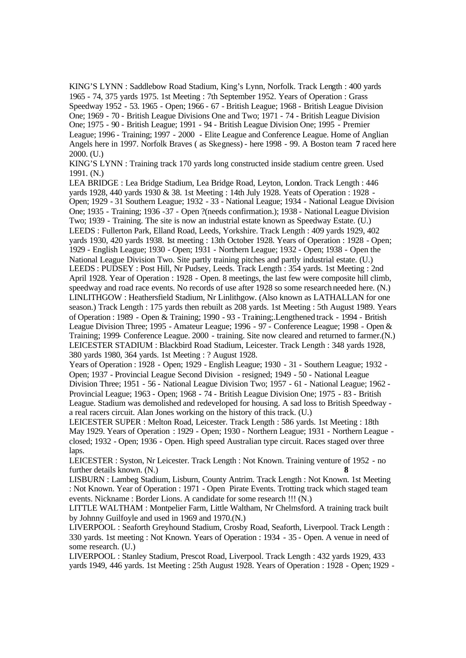KING'S LYNN : Saddlebow Road Stadium, King's Lynn, Norfolk. Track Length : 400 yards 1965 - 74, 375 yards 1975. 1st Meeting : 7th September 1952. Years of Operation : Grass Speedway 1952 - 53. 1965 - Open; 1966 - 67 - British League; 1968 - British League Division One; 1969 - 70 - British League Divisions One and Two; 1971 - 74 - British League Division One; 1975 - 90 - British League; 1991 - 94 - British League Division One; 1995 - Premier League; 1996 - Training; 1997 - 2000 - Elite League and Conference League. Home of Anglian Angels here in 1997. Norfolk Braves ( as Skegness) - here 1998 - 99. A Boston team **7** raced here 2000. (U.)

KING'S LYNN : Training track 170 yards long constructed inside stadium centre green. Used 1991. (N.)

LEA BRIDGE : Lea Bridge Stadium, Lea Bridge Road, Leyton, London. Track Length : 446 yards 1928, 440 yards 1930 & 38. 1st Meeting : 14th July 1928. Yeats of Operation : 1928 - Open; 1929 - 31 Southern League; 1932 - 33 - National League; 1934 - National League Division One; 1935 - Training; 1936 -37 - Open ?(needs confirmation.); 1938 - National League Division Two; 1939 - Training. The site is now an industrial estate known as Speedway Estate. (U.) LEEDS : Fullerton Park, Elland Road, Leeds, Yorkshire. Track Length : 409 yards 1929, 402 yards 1930, 420 yards 1938. 1st meeting : 13th October 1928. Years of Operation : 1928 - Open; 1929 - English League; 1930 - Open; 1931 - Northern League; 1932 - Open; 1938 - Open the National League Division Two. Site partly training pitches and partly industrial estate. (U.) LEEDS : PUDSEY : Post Hill, Nr Pudsey, Leeds. Track Length : 354 yards. 1st Meeting : 2nd April 1928. Year of Operation : 1928 - Open. 8 meetings, the last few were composite hill climb, speedway and road race events. No records of use after 1928 so some research needed here. (N.) LINLITHGOW : Heathersfield Stadium, Nr Linlithgow. (Also known as LATHALLAN for one season.) Track Length : 175 yards then rebuilt as 208 yards. 1st Meeting : 5th August 1989. Years of Operation : 1989 - Open & Training; 1990 - 93 - Training;.Lengthened track - 1994 - British League Division Three; 1995 - Amateur League; 1996 - 97 - Conference League; 1998 - Open & Training; 1999- Conference League. 2000 - training. Site now cleared and returned to farmer.(N.) LEICESTER STADIUM : Blackbird Road Stadium, Leicester. Track Length : 348 yards 1928, 380 yards 1980, 364 yards. 1st Meeting : ? August 1928.

Years of Operation : 1928 - Open; 1929 - English League; 1930 - 31 - Southern League; 1932 - Open; 1937 - Provincial League Second Division - resigned; 1949 - 50 - National League Division Three; 1951 - 56 - National League Division Two; 1957 - 61 - National League; 1962 - Provincial League; 1963 - Open; 1968 - 74 - British League Division One; 1975 - 83 - British League. Stadium was demolished and redeveloped for housing. A sad loss to British Speedway a real racers circuit. Alan Jones working on the history of this track. (U.)

LEICESTER SUPER : Melton Road, Leicester. Track Length : 586 yards. 1st Meeting : 18th May 1929. Years of Operation : 1929 - Open; 1930 - Northern League; 1931 - Northern League closed; 1932 - Open; 1936 - Open. High speed Australian type circuit. Races staged over three laps.

LEICESTER : Syston, Nr Leicester. Track Length : Not Known. Training venture of 1952 - no further details known. (N.) **8**

LISBURN : Lambeg Stadium, Lisburn, County Antrim. Track Length : Not Known. 1st Meeting : Not Known. Year of Operation : 1971 - Open Pirate Events. Trotting track which staged team events. Nickname : Border Lions. A candidate for some research !!! (N.)

LITTLE WALTHAM : Montpelier Farm, Little Waltham, Nr Chelmsford. A training track built by Johnny Guilfoyle and used in 1969 and 1970.(N.)

LIVERPOOL : Seaforth Greyhound Stadium, Crosby Road, Seaforth, Liverpool. Track Length : 330 yards. 1st meeting : Not Known. Years of Operation : 1934 - 35 - Open. A venue in need of some research. (U.)

LIVERPOOL : Stanley Stadium, Prescot Road, Liverpool. Track Length : 432 yards 1929, 433 yards 1949, 446 yards. 1st Meeting : 25th August 1928. Years of Operation : 1928 - Open; 1929 -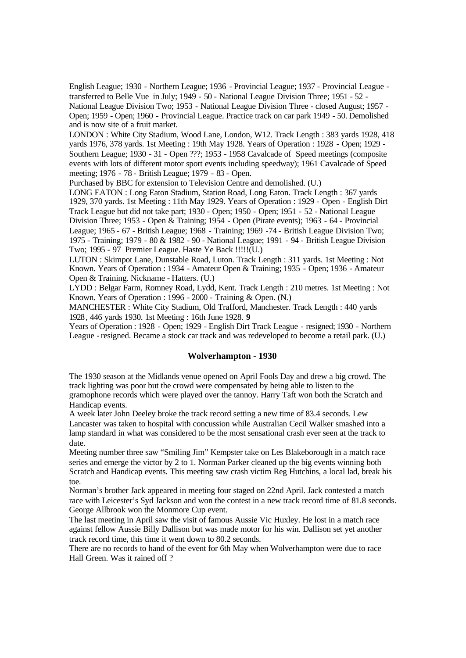English League; 1930 - Northern League; 1936 - Provincial League; 1937 - Provincial League transferred to Belle Vue in July; 1949 - 50 - National League Division Three; 1951 - 52 - National League Division Two; 1953 - National League Division Three - closed August; 1957 - Open; 1959 - Open; 1960 - Provincial League. Practice track on car park 1949 - 50. Demolished and is now site of a fruit market.

LONDON : White City Stadium, Wood Lane, London, W12. Track Length : 383 yards 1928, 418 yards 1976, 378 yards. 1st Meeting : 19th May 1928. Years of Operation : 1928 - Open; 1929 - Southern League; 1930 - 31 - Open ???; 1953 - 1958 Cavalcade of Speed meetings (composite events with lots of different motor sport events including speedway); 1961 Cavalcade of Speed meeting; 1976 - 78 - British League; 1979 - 83 - Open.

Purchased by BBC for extension to Television Centre and demolished. (U.)

LONG EATON : Long Eaton Stadium, Station Road, Long Eaton. Track Length : 367 yards 1929, 370 yards. 1st Meeting : 11th May 1929. Years of Operation : 1929 - Open - English Dirt Track League but did not take part; 1930 - Open; 1950 - Open; 1951 - 52 - National League Division Three; 1953 - Open & Training; 1954 - Open (Pirate events); 1963 - 64 - Provincial League; 1965 - 67 - British League; 1968 - Training; 1969 -74 - British League Division Two; 1975 - Training; 1979 - 80 & 1982 - 90 - National League; 1991 - 94 - British League Division Two; 1995 - 97 Premier League. Haste Ye Back !!!!!(U.)

LUTON : Skimpot Lane, Dunstable Road, Luton. Track Length : 311 yards. 1st Meeting : Not Known. Years of Operation : 1934 - Amateur Open & Training; 1935 - Open; 1936 - Amateur Open & Training. Nickname - Hatters. (U.)

LYDD : Belgar Farm, Romney Road, Lydd, Kent. Track Length : 210 metres. 1st Meeting : Not Known. Years of Operation : 1996 - 2000 - Training & Open. (N.)

MANCHESTER : White City Stadium, Old Trafford, Manchester. Track Length : 440 yards 1928, 446 yards 1930. 1st Meeting : 16th June 1928. **9** 

Years of Operation : 1928 - Open; 1929 - English Dirt Track League - resigned; 1930 - Northern League -resigned. Became a stock car track and was redeveloped to become a retail park. (U.)

# **Wolverhampton - 1930**

The 1930 season at the Midlands venue opened on April Fools Day and drew a big crowd. The track lighting was poor but the crowd were compensated by being able to listen to the gramophone records which were played over the tannoy. Harry Taft won both the Scratch and Handicap events.

A week later John Deeley broke the track record setting a new time of 83.4 seconds. Lew Lancaster was taken to hospital with concussion while Australian Cecil Walker smashed into a lamp standard in what was considered to be the most sensational crash ever seen at the track to date.

Meeting number three saw "Smiling Jim" Kempster take on Les Blakeborough in a match race series and emerge the victor by 2 to 1. Norman Parker cleaned up the big events winning both Scratch and Handicap events. This meeting saw crash victim Reg Hutchins, a local lad, break his toe.

Norman's brother Jack appeared in meeting four staged on 22nd April. Jack contested a match race with Leicester's Syd Jackson and won the contest in a new track record time of 81.8 seconds. George Allbrook won the Monmore Cup event.

The last meeting in April saw the visit of famous Aussie Vic Huxley. He lost in a match race against fellow Aussie Billy Dallison but was made motor for his win. Dallison set yet another track record time, this time it went down to 80.2 seconds.

There are no records to hand of the event for 6th May when Wolverhampton were due to race Hall Green. Was it rained off ?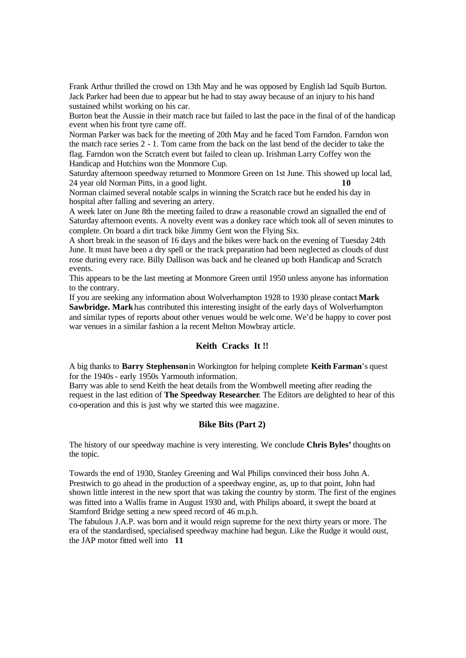Frank Arthur thrilled the crowd on 13th May and he was opposed by English lad Squib Burton. Jack Parker had been due to appear but he had to stay away because of an injury to his hand sustained whilst working on his car.

Burton beat the Aussie in their match race but failed to last the pace in the final of of the handicap event when his front tyre came off.

Norman Parker was back for the meeting of 20th May and he faced Tom Farndon. Farndon won the match race series 2 - 1. Tom came from the back on the last bend of the decider to take the flag. Farndon won the Scratch event but failed to clean up. Irishman Larry Coffey won the Handicap and Hutchins won the Monmore Cup.

Saturday afternoon speedway returned to Monmore Green on 1st June. This showed up local lad, 24 year old Norman Pitts, in a good light. **10**

Norman claimed several notable scalps in winning the Scratch race but he ended his day in hospital after falling and severing an artery.

A week later on June 8th the meeting failed to draw a reasonable crowd an signalled the end of Saturday afternoon events. A novelty event was a donkey race which took all of seven minutes to complete. On board a dirt track bike Jimmy Gent won the Flying Six.

A short break in the season of 16 days and the bikes were back on the evening of Tuesday 24th June. It must have been a dry spell or the track preparation had been neglected as clouds of dust rose during every race. Billy Dallison was back and he cleaned up both Handicap and Scratch events.

This appears to be the last meeting at Monmore Green until 1950 unless anyone has information to the contrary.

If you are seeking any information about Wolverhampton 1928 to 1930 please contact **Mark Sawbridge. Mark** has contributed this interesting insight of the early days of Wolverhampton and similar types of reports about other venues would be welcome. We'd be happy to cover post war venues in a similar fashion a la recent Melton Mowbray article.

# **Keith Cracks It !!**

A big thanks to **Barry Stephenson**in Workington for helping complete **Keith Farman**'s quest for the 1940s - early 1950s Yarmouth information.

Barry was able to send Keith the heat details from the Wombwell meeting after reading the request in the last edition of **The Speedway Researcher**. The Editors are delighted to hear of this co-operation and this is just why we started this wee magazine.

# **Bike Bits (Part 2)**

The history of our speedway machine is very interesting. We conclude **Chris Byles'** thoughts on the topic.

Towards the end of 1930, Stanley Greening and Wal Philips convinced their boss John A. Prestwich to go ahead in the production of a speedway engine, as, up to that point, John had shown little interest in the new sport that was taking the country by storm. The first of the engines was fitted into a Wallis frame in August 1930 and, with Philips aboard, it swept the board at Stamford Bridge setting a new speed record of 46 m.p.h.

The fabulous J.A.P. was born and it would reign supreme for the next thirty years or more. The era of the standardised, specialised speedway machine had begun. Like the Rudge it would oust, the JAP motor fitted well into **11**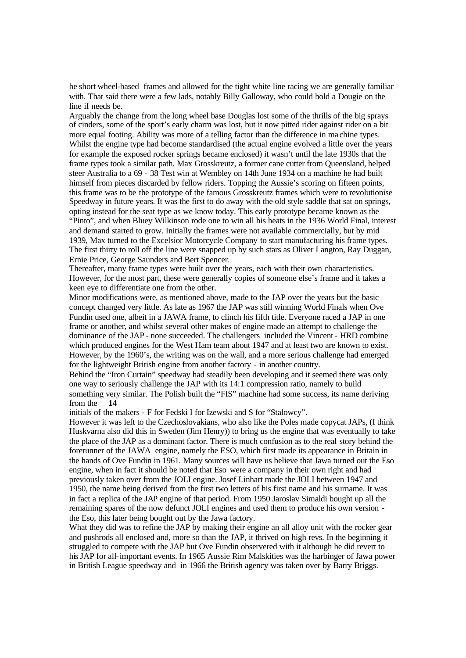he short wheel-based frames and allowed for the tight white line racing we are generally familiar with. That said there were a few lads, notably Billy Galloway, who could hold a Dougie on the line if needs be.

Arguably the change from the long wheel base Douglas lost some of the thrills of the big sprays of cinders, some of the sport's early charm was lost, but it now pitted rider against rider on a bit more equal footing. Ability was more of a telling factor than the difference in ma chine types. Whilst the engine type had become standardised (the actual engine evolved a little over the years for example the exposed rocker springs became enclosed) it wasn't until the late 1930s that the frame types took a similar path. Max Grosskreutz, a former cane cutter from Queensland, helped steer Australia to a 69 - 38 Test win at Wembley on 14th June 1934 on a machine he had built himself from pieces discarded by fellow riders. Topping the Aussie's scoring on fifteen points, this frame was to be the prototype of the famous Grosskreutz frames which were to revolutionise Speedway in future years. It was the first to do away with the old style saddle that sat on springs, opting instead for the seat type as we know today. This early prototype became known as the "Pinto", and when Bluey Wilkinson rode one to win all his heats in the 1936 World Final, interest and demand started to grow. Initially the frames were not available commercially, but by mid 1939, Max turned to the Excelsior Motorcycle Company to start manufacturing his frame types. The first thirty to roll off the line were snapped up by such stars as Oliver Langton, Ray Duggan, Ernie Price, George Saunders and Bert Spencer.

Thereafter, many frame types were built over the years, each with their own characteristics. However, for the most part, these were generally copies of someone else's frame and it takes a keen eye to differentiate one from the other.

Minor modifications were, as mentioned above, made to the JAP over the years but the basic concept changed very little. As late as 1967 the JAP was still winning World Finals when Ove Fundin used one, albeit in a JAWA frame, to clinch his fifth title. Everyone raced a JAP in one frame or another, and whilst several other makes of engine made an attempt to challenge the dominance of the JAP - none succeeded. The challengers included the Vincent - HRD combine which produced engines for the West Ham team about 1947 and at least two are known to exist. However, by the 1960's, the writing was on the wall, and a more serious challenge had emerged for the lightweight British engine from another factory - in another country.

Behind the "Iron Curtain" speedway had steadily been developing and it seemed there was only one way to seriously challenge the JAP with its 14:1 compression ratio, namely to build something very similar. The Polish built the "FIS" machine had some success, its name deriving from the **14** 

initials of the makers - F for Fedski I for Izewski and S for "Stalowcy".

However it was left to the Czechoslovakians, who also like the Poles made copycat JAPs, (I think Huskvarna also did this in Sweden (Jim Henry)) to bring us the engine that was eventually to take the place of the JAP as a dominant factor. There is much confusion as to the real story behind the forerunner of the JAWA engine, namely the ESO, which first made its appearance in Britain in the hands of Ove Fundin in 1961. Many sources will have us believe that Jawa turned out the Eso engine, when in fact it should be noted that Eso were a company in their own right and had previously taken over from the JOLI engine. Josef Linhart made the JOLI between 1947 and 1950, the name being derived from the first two letters of his first name and his surname. It was in fact a replica of the JAP engine of that period. From 1950 Jaroslav Simaldi bought up all the remaining spares of the now defunct JOLI engines and used them to produce his own version the Eso, this later being bought out by the Jawa factory.

What they did was to refine the JAP by making their engine an all alloy unit with the rocker gear and pushrods all enclosed and, more so than the JAP, it thrived on high revs. In the beginning it struggled to compete with the JAP but Ove Fundin observered with it although he did revert to his JAP for all-important events. In 1965 Aussie Rim Malskities was the harbinger of Jawa power in British League speedway and in 1966 the British agency was taken over by Barry Briggs.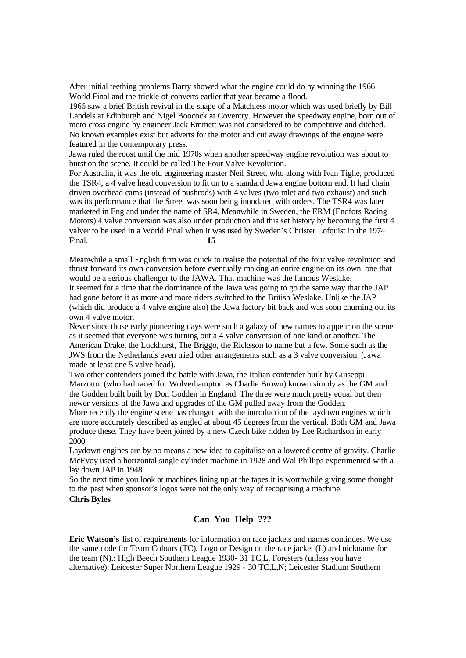After initial teething problems Barry showed what the engine could do by winning the 1966 World Final and the trickle of converts earlier that year became a flood.

1966 saw a brief British revival in the shape of a Matchless motor which was used briefly by Bill Landels at Edinburgh and Nigel Boocock at Coventry. However the speedway engine, born out of moto cross engine by engineer Jack Emmett was not considered to be competitive and ditched. No known examples exist but adverts for the motor and cut away drawings of the engine were featured in the contemporary press.

Jawa ruled the roost until the mid 1970s when another speedway engine revolution was about to burst on the scene. It could be called The Four Valve Revolution.

For Australia, it was the old engineering master Neil Street, who along with Ivan Tighe, produced the TSR4, a 4 valve head conversion to fit on to a standard Jawa engine bottom end. It had chain driven overhead cams (instead of pushrods) with 4 valves (two inlet and two exhaust) and such was its performance that the Street was soon being inundated with orders. The TSR4 was later marketed in England under the name of SR4. Meanwhile in Sweden, the ERM (Endfors Racing Motors) 4 valve conversion was also under production and this set history by becoming the first 4 valver to be used in a World Final when it was used by Sweden's Christer Lofquist in the 1974 Final. **15** 

Meanwhile a small English firm was quick to realise the potential of the four valve revolution and thrust forward its own conversion before eventually making an entire engine on its own, one that would be a serious challenger to the JAWA. That machine was the famous Weslake. It seemed for a time that the dominance of the Jawa was going to go the same way that the JAP had gone before it as more and more riders switched to the British Weslake. Unlike the JAP (which did produce a 4 valve engine also) the Jawa factory bit back and was soon churning out its own 4 valve motor.

Never since those early pioneering days were such a galaxy of new names to appear on the scene as it seemed that everyone was turning out a 4 valve conversion of one kind or another. The American Drake, the Luckhurst, The Briggo, the Ricksson to name but a few. Some such as the JWS from the Netherlands even tried other arrangements such as a 3 valve conversion. (Jawa made at least one 5 valve head).

Two other contenders joined the battle with Jawa, the Italian contender built by Guiseppi Marzotto. (who had raced for Wolverhampton as Charlie Brown) known simply as the GM and the Godden built built by Don Godden in England. The three were much pretty equal but then newer versions of the Jawa and upgrades of the GM pulled away from the Godden.

More recently the engine scene has changed with the introduction of the laydown engines which are more accurately described as angled at about 45 degrees from the vertical. Both GM and Jawa produce these. They have been joined by a new Czech bike ridden by Lee Richardson in early 2000.

Laydown engines are by no means a new idea to capitalise on a lowered centre of gravity. Charlie McEvoy used a horizontal single cylinder machine in 1928 and Wal Phillips experimented with a lay down JAP in 1948.

So the next time you look at machines lining up at the tapes it is worthwhile giving some thought to the past when sponsor's logos were not the only way of recognising a machine.

# **Chris Byles**

# **Can You Help ???**

**Eric Watson's** list of requirements for information on race jackets and names continues. We use the same code for Team Colours (TC), Logo or Design on the race jacket (L) and nickname for the team (N).: High Beech Southern League 1930- 31 TC,L, Foresters (unless you have alternative); Leicester Super Northern League 1929 - 30 TC,L,N; Leicester Stadium Southern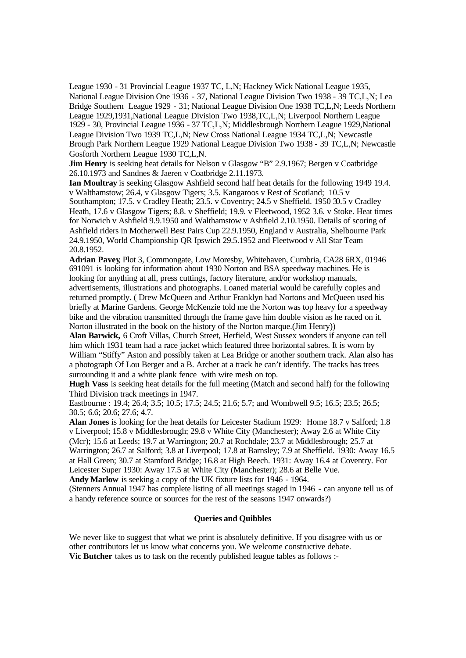League 1930 - 31 Provincial League 1937 TC, L,N; Hackney Wick National League 1935, National League Division One 1936 - 37, National League Division Two 1938 - 39 TC,L,N; Lea Bridge Southern League 1929 - 31; National League Division One 1938 TC,L,N; Leeds Northern League 1929,1931,National League Division Two 1938,TC,L,N; Liverpool Northern League 1929 - 30, Provincial League 1936 - 37 TC,L,N; Middlesbrough Northern League 1929,National League Division Two 1939 TC,L,N; New Cross National League 1934 TC,L,N; Newcastle Brough Park Northern League 1929 National League Division Two 1938 - 39 TC,L,N; Newcastle Gosforth Northern League 1930 TC,L,N.

**Jim Henry** is seeking heat details for Nelson v Glasgow "B" 2.9.1967; Bergen v Coatbridge 26.10.1973 and Sandnes & Jaeren v Coatbridge 2.11.1973.

**Ian Moultray** is seeking Glasgow Ashfield second half heat details for the following 1949 19.4. v Walthamstow; 26.4, v Glasgow Tigers; 3.5. Kangaroos v Rest of Scotland; 10.5 v Southampton; 17.5. v Cradley Heath; 23.5. v Coventry; 24.5 v Sheffield. 1950 30.5 v Cradley Heath, 17.6 v Glasgow Tigers; 8.8. v Sheffield; 19.9. v Fleetwood, 1952 3.6. v Stoke. Heat times for Norwich v Ashfield 9.9.1950 and Walthamstow v Ashfield 2.10.1950. Details of scoring of Ashfield riders in Motherwell Best Pairs Cup 22.9.1950, England v Australia, Shelbourne Park 24.9.1950, World Championship QR Ipswich 29.5.1952 and Fleetwood v All Star Team 20.8.1952.

**Adrian Pavey**, Plot 3, Commongate, Low Moresby, Whitehaven, Cumbria, CA28 6RX, 01946 691091 is looking for information about 1930 Norton and BSA speedway machines. He is looking for anything at all, press cuttings, factory literature, and/or workshop manuals, advertisements, illustrations and photographs. Loaned material would be carefully copies and returned promptly. ( Drew McQueen and Arthur Franklyn had Nortons and McQueen used his briefly at Marine Gardens. George McKenzie told me the Norton was top heavy for a speedway bike and the vibration transmitted through the frame gave him double vision as he raced on it. Norton illustrated in the book on the history of the Norton marque.(Jim Henry))

**Alan Barwick,** 6 Croft Villas, Church Street, Herfield, West Sussex wonders if anyone can tell him which 1931 team had a race jacket which featured three horizontal sabres. It is worn by William "Stiffy" Aston and possibly taken at Lea Bridge or another southern track. Alan also has a photograph Of Lou Berger and a B. Archer at a track he can't identify. The tracks has trees surrounding it and a white plank fence with wire mesh on top.

**Hugh Vass** is seeking heat details for the full meeting (Match and second half) for the following Third Division track meetings in 1947.

Eastbourne : 19.4; 26.4; 3.5; 10.5; 17.5; 24.5; 21.6; 5.7; and Wombwell 9.5; 16.5; 23.5; 26.5; 30.5; 6.6; 20.6; 27.6; 4.7.

**Alan Jones** is looking for the heat details for Leicester Stadium 1929: Home 18.7 v Salford; 1.8 v Liverpool; 15.8 v Middlesbrough; 29.8 v White City (Manchester); Away 2.6 at White City (Mcr); 15.6 at Leeds; 19.7 at Warrington; 20.7 at Rochdale; 23.7 at Middlesbrough; 25.7 at Warrington; 26.7 at Salford; 3.8 at Liverpool; 17.8 at Barnsley; 7.9 at Sheffield. 1930: Away 16.5 at Hall Green; 30.7 at Stamford Bridge; 16.8 at High Beech. 1931: Away 16.4 at Coventry. For Leicester Super 1930: Away 17.5 at White City (Manchester); 28.6 at Belle Vue.

**Andy Marlow** is seeking a copy of the UK fixture lists for 1946 - 1964.

(Stenners Annual 1947 has complete listing of all meetings staged in 1946 - can anyone tell us of a handy reference source or sources for the rest of the seasons 1947 onwards?)

# **Queries and Quibbles**

We never like to suggest that what we print is absolutely definitive. If you disagree with us or other contributors let us know what concerns you. We welcome constructive debate. **Vic Butcher** takes us to task on the recently published league tables as follows :-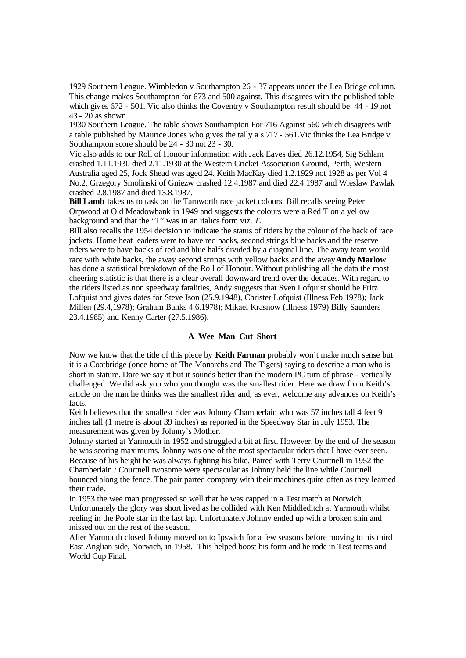1929 Southern League. Wimbledon v Southampton 26 - 37 appears under the Lea Bridge column. This change makes Southampton for 673 and 500 against. This disagrees with the published table which gives 672 - 501. Vic also thinks the Coventry v Southampton result should be 44 - 19 not 43 - 20 as shown.

1930 Southern League. The table shows Southampton For 716 Against 560 which disagrees with a table published by Maurice Jones who gives the tally a s 717 - 561.Vic thinks the Lea Bridge v Southampton score should be 24 - 30 not 23 - 30.

Vic also adds to our Roll of Honour information with Jack Eaves died 26.12.1954, Sig Schlam crashed 1.11.1930 died 2.11.1930 at the Western Cricket Association Ground, Perth, Western Australia aged 25, Jock Shead was aged 24. Keith MacKay died 1.2.1929 not 1928 as per Vol 4 No.2, Grzegory Smolinski of Gniezw crashed 12.4.1987 and died 22.4.1987 and Wieslaw Pawlak crashed 2.8.1987 and died 13.8.1987.

**Bill Lamb** takes us to task on the Tamworth race jacket colours. Bill recalls seeing Peter Orpwood at Old Meadowbank in 1949 and suggests the colours were a Red T on a yellow background and that the "T" was in an italics form viz. *T.*

Bill also recalls the 1954 decision to indicate the status of riders by the colour of the back of race jackets. Home heat leaders were to have red backs, second strings blue backs and the reserve riders were to have backs of red and blue halfs divided by a diagonal line. The away team would race with white backs, the away second strings with yellow backs and the away**Andy Marlow**  has done a statistical breakdown of the Roll of Honour. Without publishing all the data the most cheering statistic is that there is a clear overall downward trend over the decades. With regard to the riders listed as non speedway fatalities, Andy suggests that Sven Lofquist should be Fritz Lofquist and gives dates for Steve Ison (25.9.1948), Christer Lofquist (Illness Feb 1978); Jack Millen (29.4,1978); Graham Banks 4.6.1978); Mikael Krasnow (Illness 1979) Billy Saunders 23.4.1985) and Kenny Carter (27.5.1986).

#### **A Wee Man Cut Short**

Now we know that the title of this piece by **Keith Farman** probably won't make much sense but it is a Coatbridge (once home of The Monarchs and The Tigers) saying to describe a man who is short in stature. Dare we say it but it sounds better than the modern PC turn of phrase - vertically challenged. We did ask you who you thought was the smallest rider. Here we draw from Keith's article on the man he thinks was the smallest rider and, as ever, welcome any advances on Keith's facts.

Keith believes that the smallest rider was Johnny Chamberlain who was 57 inches tall 4 feet 9 inches tall (1 metre is about 39 inches) as reported in the Speedway Star in July 1953. The measurement was given by Johnny's Mother.

Johnny started at Yarmouth in 1952 and struggled a bit at first. However, by the end of the season he was scoring maximums. Johnny was one of the most spectacular riders that I have ever seen. Because of his height he was always fighting his bike. Paired with Terry Courtnell in 1952 the Chamberlain / Courtnell twosome were spectacular as Johnny held the line while Courtnell bounced along the fence. The pair parted company with their machines quite often as they learned their trade.

In 1953 the wee man progressed so well that he was capped in a Test match at Norwich. Unfortunately the glory was short lived as he collided with Ken Middleditch at Yarmouth whilst reeling in the Poole star in the last lap. Unfortunately Johnny ended up with a broken shin and missed out on the rest of the season.

After Yarmouth closed Johnny moved on to Ipswich for a few seasons before moving to his third East Anglian side, Norwich, in 1958. This helped boost his form and he rode in Test teams and World Cup Final.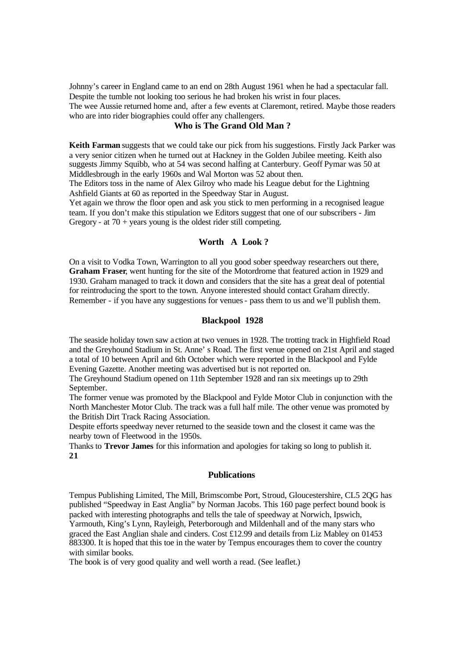Johnny's career in England came to an end on 28th August 1961 when he had a spectacular fall. Despite the tumble not looking too serious he had broken his wrist in four places. The wee Aussie returned home and, after a few events at Claremont, retired. Maybe those readers who are into rider biographies could offer any challengers.

# **Who is The Grand Old Man ?**

**Keith Farman** suggests that we could take our pick from his suggestions. Firstly Jack Parker was a very senior citizen when he turned out at Hackney in the Golden Jubilee meeting. Keith also suggests Jimmy Squibb, who at 54 was second halfing at Canterbury. Geoff Pymar was 50 at Middlesbrough in the early 1960s and Wal Morton was 52 about then.

The Editors toss in the name of Alex Gilroy who made his League debut for the Lightning Ashfield Giants at 60 as reported in the Speedway Star in August.

Yet again we throw the floor open and ask you stick to men performing in a recognised league team. If you don't make this stipulation we Editors suggest that one of our subscribers - Jim Gregory - at  $70 + \text{years}$  young is the oldest rider still competing.

# **Worth A Look ?**

On a visit to Vodka Town, Warrington to all you good sober speedway researchers out there, **Graham Fraser**, went hunting for the site of the Motordrome that featured action in 1929 and 1930. Graham managed to track it down and considers that the site has a great deal of potential for reintroducing the sport to the town. Anyone interested should contact Graham directly. Remember - if you have any suggestions for venues - pass them to us and we'll publish them.

# **Blackpool 1928**

The seaside holiday town saw a ction at two venues in 1928. The trotting track in Highfield Road and the Greyhound Stadium in St. Anne' s Road. The first venue opened on 21st April and staged a total of 10 between April and 6th October which were reported in the Blackpool and Fylde Evening Gazette. Another meeting was advertised but is not reported on.

The Greyhound Stadium opened on 11th September 1928 and ran six meetings up to 29th September.

The former venue was promoted by the Blackpool and Fylde Motor Club in conjunction with the North Manchester Motor Club. The track was a full half mile. The other venue was promoted by the British Dirt Track Racing Association.

Despite efforts speedway never returned to the seaside town and the closest it came was the nearby town of Fleetwood in the 1950s.

Thanks to **Trevor James** for this information and apologies for taking so long to publish it. **21**

# **Publications**

Tempus Publishing Limited, The Mill, Brimscombe Port, Stroud, Gloucestershire, CL5 2QG has published "Speedway in East Anglia" by Norman Jacobs. This 160 page perfect bound book is packed with interesting photographs and tells the tale of speedway at Norwich, Ipswich, Yarmouth, King's Lynn, Rayleigh, Peterborough and Mildenhall and of the many stars who graced the East Anglian shale and cinders. Cost £12.99 and details from Liz Mabley on 01453 883300. It is hoped that this toe in the water by Tempus encourages them to cover the country with similar books.

The book is of very good quality and well worth a read. (See leaflet.)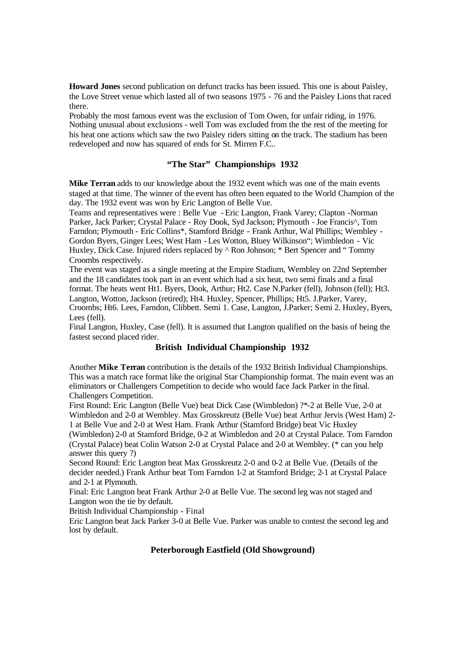**Howard Jones** second publication on defunct tracks has been issued. This one is about Paisley, the Love Street venue which lasted all of two seasons 1975 - 76 and the Paisley Lions that raced there.

Probably the most famous event was the exclusion of Tom Owen, for unfair riding, in 1976. Nothing unusual about exclusions - well Tom was excluded from the the rest of the meeting for his heat one actions which saw the two Paisley riders sitting on the track. The stadium has been redeveloped and now has squared of ends for St. Mirren F.C..

# **"The Star" Championships 1932**

**Mike Terran** adds to our knowledge about the 1932 event which was one of the main events staged at that time. The winner of the event has often been equated to the World Champion of the day. The 1932 event was won by Eric Langton of Belle Vue.

Teams and representatives were : Belle Vue -Eric Langton, Frank Varey; Clapton -Norman Parker, Jack Parker; Crystal Palace - Roy Dook, Syd Jackson; Plymouth - Joe Francis^, Tom Farndon; Plymouth - Eric Collins\*, Stamford Bridge - Frank Arthur, Wal Phillips; Wembley - Gordon Byers, Ginger Lees; West Ham -Les Wotton, Bluey Wilkinson"; Wimbledon - Vic Huxley, Dick Case. Injured riders replaced by  $\wedge$  Ron Johnson; \* Bert Spencer and "Tommy Croombs respectively.

The event was staged as a single meeting at the Empire Stadium, Wembley on 22nd September and the 18 candidates took part in an event which had a six heat, two semi finals and a final format. The heats went Ht1. Byers, Dook, Arthur; Ht2. Case N.Parker (fell), Johnson (fell); Ht3. Langton, Wotton, Jackson (retired); Ht4. Huxley, Spencer, Phillips; Ht5. J.Parker, Varey, Croombs; Ht6. Lees, Farndon, Clibbett. Semi 1. Case, Langton, J.Parker; Semi 2. Huxley, Byers, Lees (fell).

Final Langton, Huxley, Case (fell). It is assumed that Langton qualified on the basis of being the fastest second placed rider.

## **British Individual Championship 1932**

Another **Mike Terran** contribution is the details of the 1932 British Individual Championships. This was a match race format like the original Star Championship format. The main event was an eliminators or Challengers Competition to decide who would face Jack Parker in the final. Challengers Competition.

First Round: Eric Langton (Belle Vue) beat Dick Case (Wimbledon) ?\*-2 at Belle Vue, 2-0 at Wimbledon and 2-0 at Wembley. Max Grosskreutz (Belle Vue) beat Arthur Jervis (West Ham) 2- 1 at Belle Vue and 2-0 at West Ham. Frank Arthur (Stamford Bridge) beat Vic Huxley

(Wimbledon) 2-0 at Stamford Bridge, 0-2 at Wimbledon and 2-0 at Crystal Palace. Tom Farndon (Crystal Palace) beat Colin Watson 2-0 at Crystal Palace and 2-0 at Wembley. (\* can you help answer this query ?)

Second Round: Eric Langton beat Max Grosskreutz 2-0 and 0-2 at Belle Vue. (Details of the decider needed.) Frank Arthur beat Tom Farndon 1-2 at Stamford Bridge; 2-1 at Crystal Palace and 2-1 at Plymouth.

Final: Eric Langton beat Frank Arthur 2-0 at Belle Vue. The second leg was not staged and Langton won the tie by default.

British Individual Championship - Final

Eric Langton beat Jack Parker 3-0 at Belle Vue. Parker was unable to contest the second leg and lost by default.

# **Peterborough Eastfield (Old Showground)**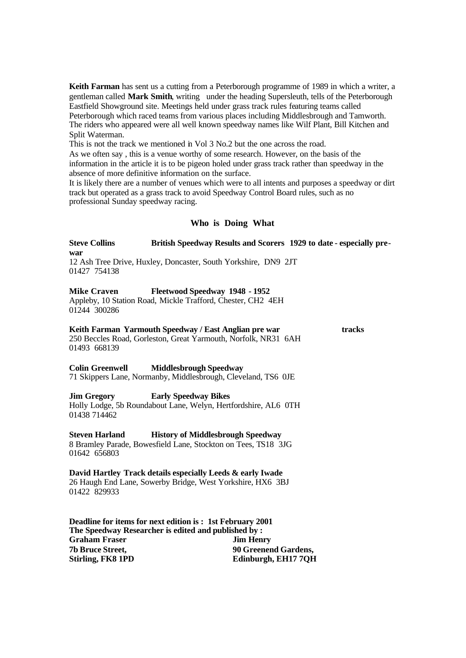**Keith Farman** has sent us a cutting from a Peterborough programme of 1989 in which a writer, a gentleman called **Mark Smith**, writing under the heading Supersleuth, tells of the Peterborough Eastfield Showground site. Meetings held under grass track rules featuring teams called Peterborough which raced teams from various places including Middlesbrough and Tamworth. The riders who appeared were all well known speedway names like Wilf Plant, Bill Kitchen and Split Waterman.

This is not the track we mentioned in Vol 3 No.2 but the one across the road.

As we often say , this is a venue worthy of some research. However, on the basis of the information in the article it is to be pigeon holed under grass track rather than speedway in the absence of more definitive information on the surface.

It is likely there are a number of venues which were to all intents and purposes a speedway or dirt track but operated as a grass track to avoid Speedway Control Board rules, such as no professional Sunday speedway racing.

#### **Who is Doing What**

**Steve Collins British Speedway Results and Scorers 1929 to date - especially prewar** 12 Ash Tree Drive, Huxley, Doncaster, South Yorkshire, DN9 2JT 01427 754138

#### **Mike Craven Fleetwood Speedway 1948 - 1952**

Appleby, 10 Station Road, Mickle Trafford, Chester, CH2 4EH 01244 300286

# **Keith Farman Yarmouth Speedway / East Anglian pre war tracks**

250 Beccles Road, Gorleston, Great Yarmouth, Norfolk, NR31 6AH 01493 668139

**Colin Greenwell Middlesbrough Speedway** 71 Skippers Lane, Normanby, Middlesbrough, Cleveland, TS6 0JE

#### **Jim Gregory Early Speedway Bikes**

Holly Lodge, 5b Roundabout Lane, Welyn, Hertfordshire, AL6 0TH 01438 714462

#### **Steven Harland History of Middlesbrough Speedway**

8 Bramley Parade, Bowesfield Lane, Stockton on Tees, TS18 3JG 01642 656803

#### **David Hartley Track details especially Leeds & early Iwade**

26 Haugh End Lane, Sowerby Bridge, West Yorkshire, HX6 3BJ 01422 829933

| <b>Deadline for items for next edition is : 1st February 2001</b><br>The Speedway Researcher is edited and published by: |                             |
|--------------------------------------------------------------------------------------------------------------------------|-----------------------------|
|                                                                                                                          |                             |
| <b>7b Bruce Street,</b>                                                                                                  | <b>90 Greenend Gardens,</b> |
| Stirling, FK8 1PD                                                                                                        | Edinburgh, EH17 7QH         |